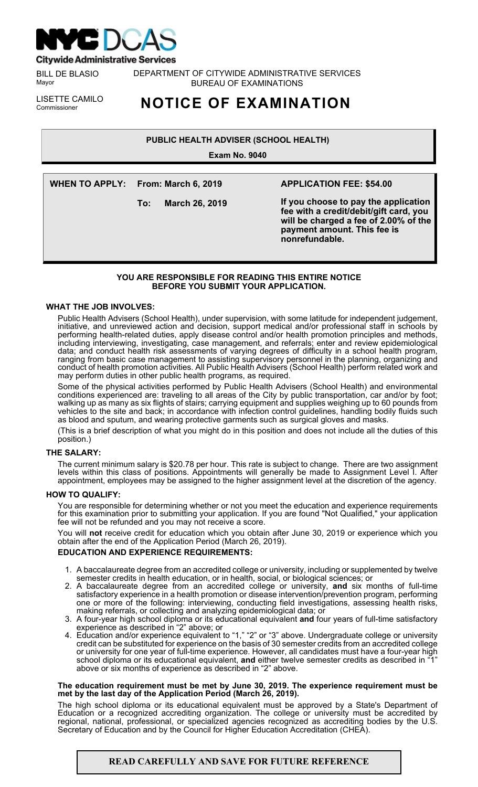

**Citywide Administrative Services** 

BILL DE BLASIO Mayor

DEPARTMENT OF CITYWIDE ADMINISTRATIVE SERVICES BUREAU OF EXAMINATIONS

LISETTE CAMILO<br>Commissioner

# Commissioner **NOTICE OF EXAMINATION**

# **PUBLIC HEALTH ADVISER (SCHOOL HEALTH)**

**Exam No. 9040**

**WHEN TO APPLY: From: March 6, 2019**

**To: March 26, 2019**

# **APPLICATION FEE: \$54.00**

**If you choose to pay the application fee with a credit/debit/gift card, you will be charged a fee of 2.00% of the payment amount. This fee is nonrefundable.**

# **YOU ARE RESPONSIBLE FOR READING THIS ENTIRE NOTICE BEFORE YOU SUBMIT YOUR APPLICATION.**

## **WHAT THE JOB INVOLVES:**

Public Health Advisers (School Health), under supervision, with some latitude for independent judgement, initiative, and unreviewed action and decision, support medical and/or professional staff in schools by performing health-related duties, apply disease control and/or health promotion principles and methods, including interviewing, investigating, case management, and referrals; enter and review epidemiological data; and conduct health risk assessments of varying degrees of difficulty in a school health program, ranging from basic case management to assisting supervisory personnel in the planning, organizing and conduct of health promotion activities. All Public Health Advisers (School Health) perform related work and may perform duties in other public health programs, as required.

Some of the physical activities performed by Public Health Advisers (School Health) and environmental conditions experienced are: traveling to all areas of the City by public transportation, car and/or by foot; walking up as many as six flights of stairs; carrying equipment and supplies weighing up to 60 pounds from vehicles to the site and back; in accordance with infection control guidelines, handling bodily fluids such as blood and sputum, and wearing protective garments such as surgical gloves and masks.

(This is a brief description of what you might do in this position and does not include all the duties of this position.)

# **THE SALARY:**

The current minimum salary is \$20.78 per hour. This rate is subject to change. There are two assignment levels within this class of positions. Appointments will generally be made to Assignment Level I. After appointment, employees may be assigned to the higher assignment level at the discretion of the agency.

# **HOW TO QUALIFY:**

You are responsible for determining whether or not you meet the education and experience requirements for this examination prior to submitting your application. If you are found "Not Qualified," your application fee will not be refunded and you may not receive a score.

You will **not** receive credit for education which you obtain after June 30, 2019 or experience which you obtain after the end of the Application Period (March 26, 2019).

# **EDUCATION AND EXPERIENCE REQUIREMENTS:**

- 1. A baccalaureate degree from an accredited college or university, including or supplemented by twelve semester credits in health education, or in health, social, or biological sciences; or
- 2. A baccalaureate degree from an accredited college or university, **and** six months of full-time satisfactory experience in a health promotion or disease intervention/prevention program, performing one or more of the following: interviewing, conducting field investigations, assessing health risks, making referrals, or collecting and analyzing epidemiological data; or
- 3. A four-year high school diploma or its educational equivalent **and** four years of full-time satisfactory experience as described in "2" above; or
- 4. Education and/or experience equivalent to "1," "2" or "3" above. Undergraduate college or university credit can be substituted for experience on the basis of 30 semester credits from an accredited college or university for one year of full-time experience. However, all candidates must have a four-year high school diploma or its educational equivalent, **and** either twelve semester credits as described in " above or six months of experience as described in "2" above.

#### **The education requirement must be met by June 30, 2019. The experience requirement must be met by the last day of the Application Period (March 26, 2019).**

The high school diploma or its educational equivalent must be approved by a State's Department of Education or a recognized accrediting organization. The college or university must be accredited by regional, national, professional, or specialized agencies recognized as accrediting bodies by the U.S. Secretary of Education and by the Council for Higher Education Accreditation (CHEA).

# **READ CAREFULLY AND SAVE FOR FUTURE REFERENCE**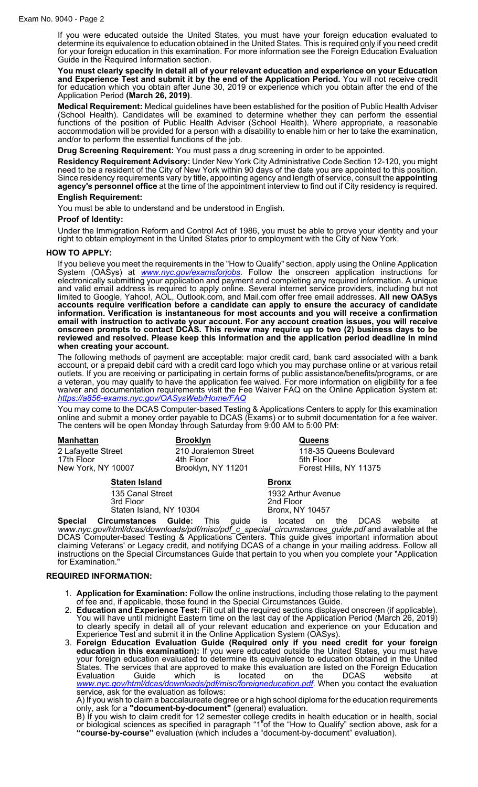If you were educated outside the United States, you must have your foreign education evaluated to determine its equivalence to education obtained in the United States. This is required <u>only</u> if you need credit for your foreign education in this examination. For more information see the Foreign Education Evaluation Guide in the Required Information section.

**You must clearly specify in detail all of your relevant education and experience on your Education and Experience Test and submit it by the end of the Application Period.** You will not receive credit for education which you obtain after June 30, 2019 or experience which you obtain after the end of the Application Period **(March 26, 2019)**.

**Medical Requirement:** Medical guidelines have been established for the position of Public Health Adviser (School Health). Candidates will be examined to determine whether they can perform the essential functions of the position of Public Health Adviser (School Health). Where appropriate, a reasonable accommodation will be provided for a person with a disability to enable him or her to take the examination, and/or to perform the essential functions of the job.

**Drug Screening Requirement:** You must pass a drug screening in order to be appointed.

**Residency Requirement Advisory:** Under New York City Administrative Code Section 12-120, you might need to be a resident of the City of New York within 90 days of the date you are appointed to this position. Since residency requirements vary by title, appointing agency and length of service, consult the **appointing agency's personnel office** at the time of the appointment interview to find out if City residency is required. **English Requirement:**

You must be able to understand and be understood in English.

# **Proof of Identity:**

Under the Immigration Reform and Control Act of 1986, you must be able to prove your identity and your right to obtain employment in the United States prior to employment with the City of New York.

#### **HOW TO APPLY:**

If you believe you meet the requirements in the "How to Qualify" section, apply using the Online Application System (OASys) at *[www.nyc.gov/examsforjobs](http://www.nyc.gov/examsforjobs)*. Follow the onscreen application instructions for electronically submitting your application and payment and completing any required information. A unique and valid email address is required to apply online. Several internet service providers, including but not limited to Google, Yahoo!, AOL, Outlook.com, and Mail.com offer free email addresses. **All new OASys accounts require verification before a candidate can apply to ensure the accuracy of candidate information. Verification is instantaneous for most accounts and you will receive a confirmation email with instruction to activate your account. For any account creation issues, you will receive onscreen prompts to contact DCAS. This review may require up to two (2) business days to be reviewed and resolved. Please keep this information and the application period deadline in mind when creating your account.**

The following methods of payment are acceptable: major credit card, bank card associated with a bank account, or a prepaid debit card with a credit card logo which you may purchase online or at various retail outlets. If you are receiving or participating in certain forms of public assistance/benefits/programs, or are a veteran, you may qualify to have the application fee waived. For more information on eligibility for a fee waiver and documentation requirements visit the Fee Waiver FAQ on the Online Application System at: *<https://a856-exams.nyc.gov/OASysWeb/Home/FAQ>*

You may come to the DCAS Computer-based Testing & Applications Centers to apply for this examination online and submit a money order payable to DCAS (Exams) or to submit documentation for a fee waiver. The centers will be open Monday through Saturday from 9:00 AM to 5:00 PM:

| <b>Manhattan</b>                                                                 |                      | <b>Brooklyn</b>    |                                                         |                                                           |     |         | <b>Queens</b>                                                  |     |       |    |  |  |
|----------------------------------------------------------------------------------|----------------------|--------------------|---------------------------------------------------------|-----------------------------------------------------------|-----|---------|----------------------------------------------------------------|-----|-------|----|--|--|
| 2 Lafayette Street<br>17th Floor<br>New York, NY 10007                           |                      |                    | 210 Joralemon Street<br>4th Floor<br>Brooklyn, NY 11201 |                                                           |     |         | 118-35 Queens Boulevard<br>5th Floor<br>Forest Hills, NY 11375 |     |       |    |  |  |
| <b>Staten Island</b><br>135 Canal Street<br>3rd Floor<br>Staten Island, NY 10304 |                      |                    | <b>Bronx</b>                                            |                                                           |     |         |                                                                |     |       |    |  |  |
|                                                                                  |                      |                    |                                                         | 1932 Arthur Avenue<br>2nd Floor<br><b>Bronx, NY 10457</b> |     |         |                                                                |     |       |    |  |  |
| Snecial                                                                          | <b>Circumstances</b> | Guide <sup>.</sup> | Thie                                                    | aniide.                                                   | is. | located | nn.                                                            | th≏ | DCAS. | MQ |  |  |

**Special Circumstances Guide:** This guide is located on the DCAS website at *www.nyc.gov/html/dcas/downloads/pdf/misc/pdf\_c\_special\_circumstances\_guide.pdf* and available at the DCAS Computer-based Testing & Applications Centers. This guide gives important information about claiming Veterans' or Legacy credit, and notifying DCAS of a change in your mailing address. Follow all instructions on the Special Circumstances Guide that pertain to you when you complete your "Application for Examination."

#### **REQUIRED INFORMATION:**

- 1. **Application for Examination:** Follow the online instructions, including those relating to the payment of fee and, if applicable, those found in the Special Circumstances Guide.
- 2. **Education and Experience Test:** Fill out all the required sections displayed onscreen (if applicable). You will have until midnight Eastern time on the last day of the Application Period (March 26, 2019) to clearly specify in detail all of your relevant education and experience on your Education and Experience Test and submit it in the Online Application System (OASys).
- 3. **Foreign Education Evaluation Guide (Required only if you need credit for your foreign education in this examination):** If you were educated outside the United States, you must have your foreign education evaluated to determine its equivalence to education obtained in the United States. The services that are approved to make this evaluation are listed on the Foreign Education Evaluation Guide which is located on the DCAS website at *[www.nyc.gov/html/dcas/downloads/pdf/misc/foreigneducation.pdf](http://www.nyc.gov/html/dcas/downloads/pdf/misc/foreigneducation.pdf)*. When you contact the evaluation service, ask for the evaluation as follows:

A) If you wish to claim a baccalaureate degree or a high school diploma for the education requirements only, ask for a **"document-by-document"** (general) evaluation.

B) If you wish to claim credit for 12 semester college credits in health education or in health, social or biological sciences as specified in paragraph "1"of the "How to Qualify" section above, ask for a **"course-by-course"** evaluation (which includes a "document-by-document" evaluation).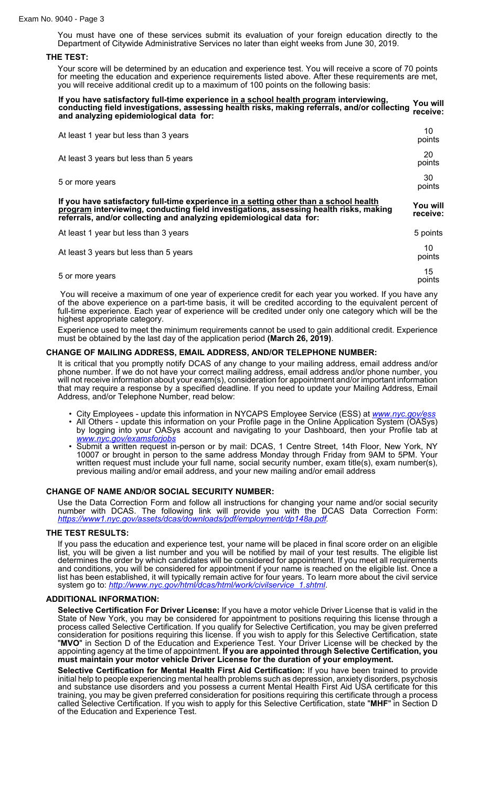You must have one of these services submit its evaluation of your foreign education directly to the Department of Citywide Administrative Services no later than eight weeks from June 30, 2019.

## **THE TEST:**

Your score will be determined by an education and experience test. You will receive a score of 70 points for meeting the education and experience requirements listed above. After these requirements are met, you will receive additional credit up to a maximum of 100 points on the following basis:

| If you have satisfactory full-time experience in a school health program interviewing,<br>conducting field investigations, assessing health risks, making referrals, and/or collecting<br>and analyzing epidemiological data for:                      | You will<br>receive: |
|--------------------------------------------------------------------------------------------------------------------------------------------------------------------------------------------------------------------------------------------------------|----------------------|
| At least 1 year but less than 3 years                                                                                                                                                                                                                  | 10<br>points         |
| At least 3 years but less than 5 years                                                                                                                                                                                                                 | 20<br>points         |
| 5 or more years                                                                                                                                                                                                                                        | 30<br>points         |
| If you have satisfactory full-time experience in a setting other than a school health<br>program interviewing, conducting field investigations, assessing health risks, making<br>referrals, and/or collecting and analyzing epidemiological data for: | You will<br>receive: |
| At least 1 year but less than 3 years                                                                                                                                                                                                                  | 5 points             |
| At least 3 years but less than 5 years                                                                                                                                                                                                                 | 10<br>points         |
| 5 or more years                                                                                                                                                                                                                                        | 15<br>points         |

You will receive a maximum of one year of experience credit for each year you worked. If you have any of the above experience on a part-time basis, it will be credited according to the equivalent percent of full-time experience. Each year of experience will be credited under only one category which will be the highest appropriate category.

Experience used to meet the minimum requirements cannot be used to gain additional credit. Experience must be obtained by the last day of the application period **(March 26, 2019)**.

## **CHANGE OF MAILING ADDRESS, EMAIL ADDRESS, AND/OR TELEPHONE NUMBER:**

It is critical that you promptly notify DCAS of any change to your mailing address, email address and/or phone number. If we do not have your correct mailing address, email address and/or phone number, you will not receive information about your exam(s), consideration for appointment and/or important information that may require a response by a specified deadline. If you need to update your Mailing Address, Email Address, and/or Telephone Number, read below:

- City Employees update this information in NYCAPS Employee Service (ESS) at *www.nyc.gov*
- All Others update this information on your Profile page in the Online Application System (OASys) by logging into your OASys account and navigating to your Dashboard, then your Profile tab at *[www.nyc.gov/examsforjobs](http://www.nyc.gov/examsforjobs)*
- Submit a written request in-person or by mail: DCAS, 1 Centre Street, 14th Floor, New York, NY 10007 or brought in person to the same address Monday through Friday from 9AM to 5PM. Your written request must include your full name, social security number, exam title(s), exam number(s), previous mailing and/or email address, and your new mailing and/or email address

#### **CHANGE OF NAME AND/OR SOCIAL SECURITY NUMBER:**

Use the Data Correction Form and follow all instructions for changing your name and/or social security number with DCAS. The following link will provide you with the DCAS Data Correction Form: *<https://www1.nyc.gov/assets/dcas/downloads/pdf/employment/dp148a.pdf>.*

## **THE TEST RESULTS:**

If you pass the education and experience test, your name will be placed in final score order on an eligible list, you will be given a list number and you will be notified by mail of your test results. The eligible list determines the order by which candidates will be considered for appointment. If you meet all requirements and conditions, you will be considered for appointment if your name is reached on the eligible list. Once a list has been established, it will typically remain active for four years. To learn more about the civil service system go to: *[http://www.nyc.gov/html/dcas/html/work/civilservice\\_1.shtml](http://www.nyc.gov/html/dcas/html/work/civilservice_1.shtml)*.

#### **ADDITIONAL INFORMATION:**

**Selective Certification For Driver License:** If you have a motor vehicle Driver License that is valid in the State of New York, you may be considered for appointment to positions requiring this license through a process called Selective Certification. If you qualify for Selective Certification, you may be given preferred consideration for positions requiring this license. If you wish to apply for this Selective Certification, state "**MVO**" in Section D of the Education and Experience Test. Your Driver License will be checked by the appointing agency at the time of appointment. **If you are appointed through Selective Certification, you must maintain your motor vehicle Driver License for the duration of your employment.**

**Selective Certification for Mental Health First Aid Certification:** If you have been trained to provide initial help to people experiencing mental health problems such as depression, anxiety disorders, psychosis and substance use disorders and you possess a current Mental Health First Aid USA certificate for this training, you may be given preferred consideration for positions requiring this certificate through a process called Selective Certification. If you wish to apply for this Selective Certification, state "**MHF**" in Section D of the Education and Experience Test.